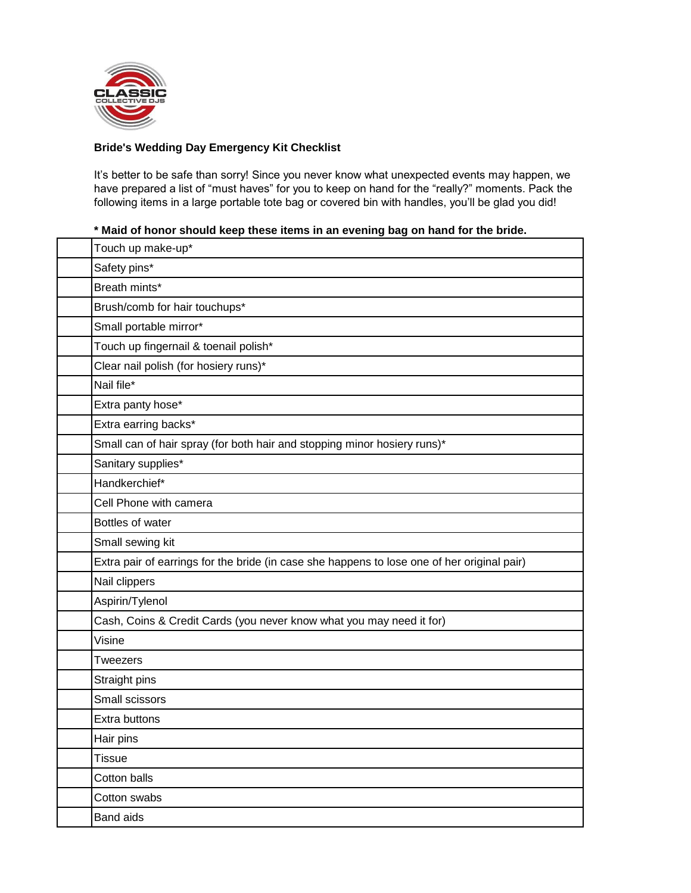

## **Bride's Wedding Day Emergency Kit Checklist**

It's better to be safe than sorry! Since you never know what unexpected events may happen, we have prepared a list of "must haves" for you to keep on hand for the "really?" moments. Pack the following items in a large portable tote bag or covered bin with handles, you'll be glad you did!

## **\* Maid of honor should keep these items in an evening bag on hand for the bride.**

| Touch up make-up*                                                                           |
|---------------------------------------------------------------------------------------------|
| Safety pins*                                                                                |
| Breath mints*                                                                               |
| Brush/comb for hair touchups*                                                               |
| Small portable mirror*                                                                      |
| Touch up fingernail & toenail polish*                                                       |
| Clear nail polish (for hosiery runs)*                                                       |
| Nail file*                                                                                  |
| Extra panty hose*                                                                           |
| Extra earring backs*                                                                        |
| Small can of hair spray (for both hair and stopping minor hosiery runs)*                    |
| Sanitary supplies*                                                                          |
| Handkerchief*                                                                               |
| Cell Phone with camera                                                                      |
| Bottles of water                                                                            |
| Small sewing kit                                                                            |
| Extra pair of earrings for the bride (in case she happens to lose one of her original pair) |
| Nail clippers                                                                               |
| Aspirin/Tylenol                                                                             |
| Cash, Coins & Credit Cards (you never know what you may need it for)                        |
| Visine                                                                                      |
| Tweezers                                                                                    |
| Straight pins                                                                               |
| Small scissors                                                                              |
| Extra buttons                                                                               |
| Hair pins                                                                                   |
| <b>Tissue</b>                                                                               |
| Cotton balls                                                                                |
| Cotton swabs                                                                                |
| <b>Band aids</b>                                                                            |